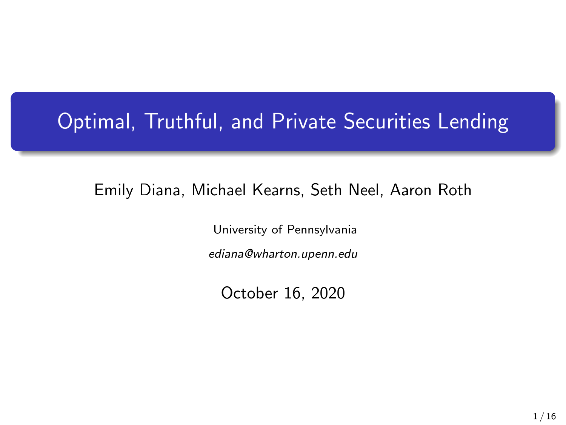# Optimal, Truthful, and Private Securities Lending

### Emily Diana, Michael Kearns, Seth Neel, Aaron Roth

University of Pennsylvania ediana@wharton.upenn.edu

October 16, 2020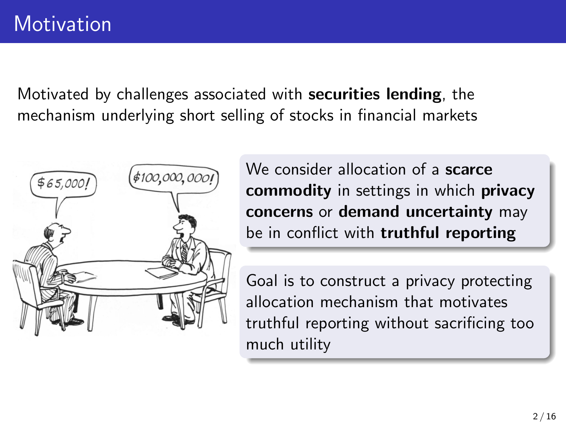Motivated by challenges associated with securities lending, the mechanism underlying short selling of stocks in financial markets



We consider allocation of a **scarce** commodity in settings in which privacy concerns or demand uncertainty may be in conflict with **truthful reporting** 

Goal is to construct a privacy protecting allocation mechanism that motivates truthful reporting without sacrificing too much utility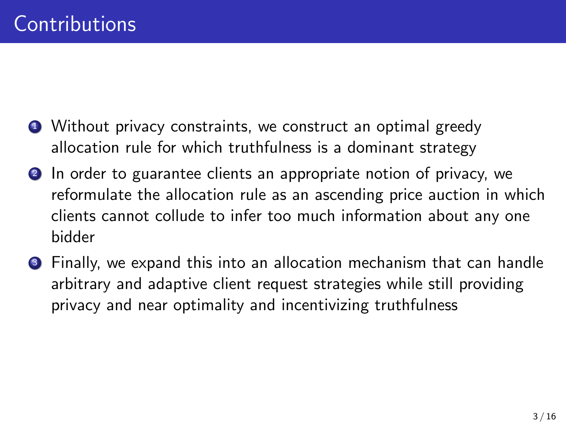- **1** Without privacy constraints, we construct an optimal greedy allocation rule for which truthfulness is a dominant strategy
- 2 In order to guarantee clients an appropriate notion of privacy, we reformulate the allocation rule as an ascending price auction in which clients cannot collude to infer too much information about any one bidder
- **3** Finally, we expand this into an allocation mechanism that can handle arbitrary and adaptive client request strategies while still providing privacy and near optimality and incentivizing truthfulness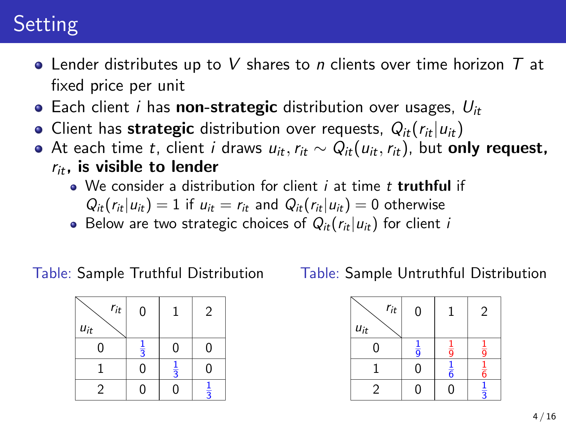# **Setting**

- Lender distributes up to V shares to n clients over time horizon  $T$  at fixed price per unit
- Each client *i* has **non-strategic** distribution over usages,  $U_{it}$
- Client has strategic distribution over requests,  $Q_{it}(r_{it}|u_{it})$
- At each time t, client i draws  $u_{it}$ ,  $r_{it} \sim Q_{it}(u_{it},r_{it})$ , but only request,  $r_{it}$ , is visible to lender
	- $\bullet$  We consider a distribution for client *i* at time *t* truthful if
		- $Q_{it}(r_{it}|u_{it}) = 1$  if  $u_{it} = r_{it}$  and  $Q_{it}(r_{it}|u_{it}) = 0$  otherwise
	- Below are two strategic choices of  $Q_{it}(r_{it}|u_{it})$  for client i

#### Table: Sample Truthful Distribution

| $r_{it}$<br>$u_{it}$ | 0             |               | $\overline{c}$ |
|----------------------|---------------|---------------|----------------|
| 0                    | $\frac{1}{3}$ | 0             | 0              |
|                      | 0             | $\frac{1}{3}$ | $\Omega$       |
| $\overline{2}$       | 0             | 0             | $\frac{1}{3}$  |

Table: Sample Untruthful Distribution

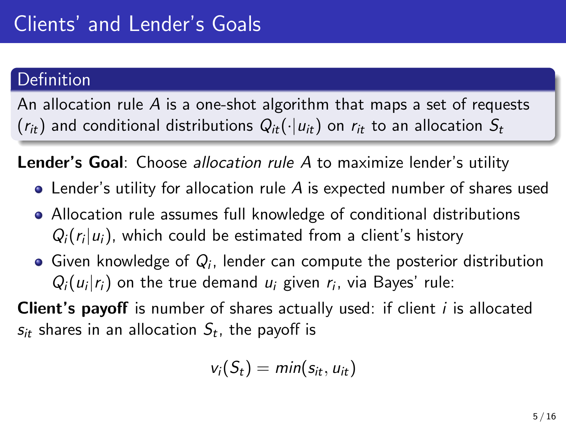### Definition

An allocation rule  $\overline{A}$  is a one-shot algorithm that maps a set of requests  $(r_{it})$  and conditional distributions  $Q_{it}(\cdot|u_{it})$  on  $r_{it}$  to an allocation  $S_t$ 

**Lender's Goal:** Choose *allocation rule A* to maximize lender's utility

- Lender's utility for allocation rule A is expected number of shares used
- Allocation rule assumes full knowledge of conditional distributions  $Q_i(r_i|u_i)$ , which could be estimated from a client's history
- Given knowledge of  $Q_i$ , lender can compute the posterior distribution  $Q_i(u_i|r_i)$  on the true demand  $u_i$  given  $r_i$ , via Bayes' rule:

**Client's payoff** is number of shares actually used: if client *i* is allocated  $\mathsf{s}_{it}$  shares in an allocation  $\mathsf{S}_t$ , the payoff is

$$
v_i(S_t) = min(s_{it}, u_{it})
$$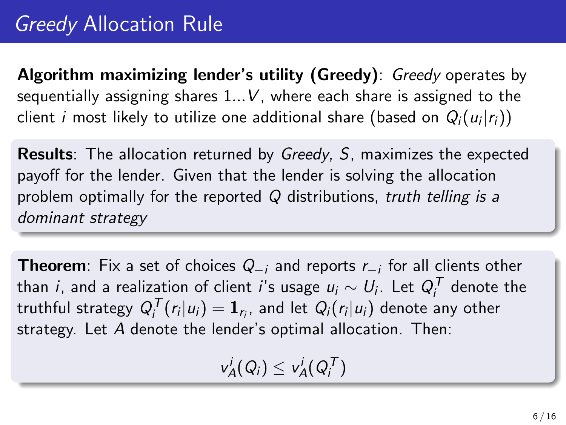Algorithm maximizing lender's utility (Greedy): Greedy operates by sequentially assigning shares  $1...V$ , where each share is assigned to the client  $i$  most likely to utilize one additional share (based on  $\mathit{Q}_{i}(u_{i}|r_{i}))$ 

Results: The allocation returned by Greedy, S, maximizes the expected payoff for the lender. Given that the lender is solving the allocation problem optimally for the reported  $Q$  distributions, truth telling is a dominant strategy

**Theorem**: Fix a set of choices  $Q_{-i}$  and reports  $r_{-i}$  for all clients other than  $i$ , and a realization of client  $i$ 's usage  $u_i \sim U_i$ . Let  $Q_i^{\mathcal T}$  denote the truthful strategy  $Q_i^{\mathcal{T}}(r_i|u_i) = \mathbf{1}_{r_i}$ , and let  $Q_i(r_i|u_i)$  denote any other strategy. Let A denote the lender's optimal allocation. Then:

 $v_A^i(Q_i) \leq v_A^i(Q_i^{\mathsf{T}})$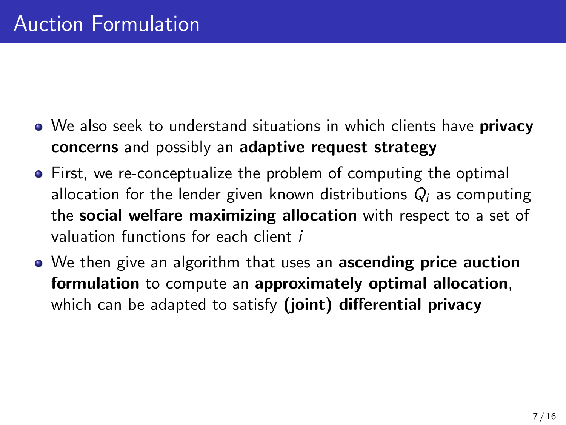- We also seek to understand situations in which clients have **privacy** concerns and possibly an adaptive request strategy
- First, we re-conceptualize the problem of computing the optimal allocation for the lender given known distributions  $Q_i$  as computing the social welfare maximizing allocation with respect to a set of valuation functions for each client i
- We then give an algorithm that uses an **ascending price auction** formulation to compute an approximately optimal allocation, which can be adapted to satisfy (joint) differential privacy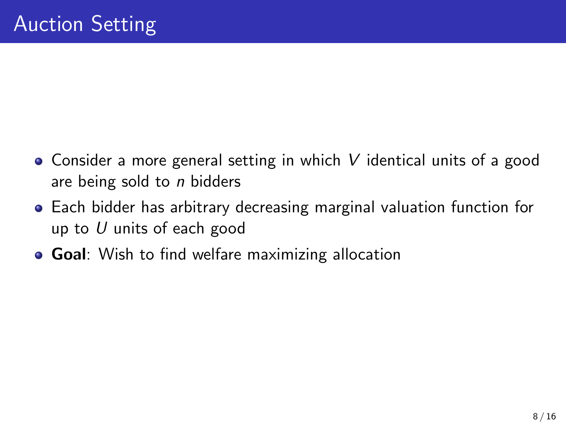- Consider a more general setting in which V identical units of a good are being sold to *n* bidders
- Each bidder has arbitrary decreasing marginal valuation function for up to  $U$  units of each good
- **Goal**: Wish to find welfare maximizing allocation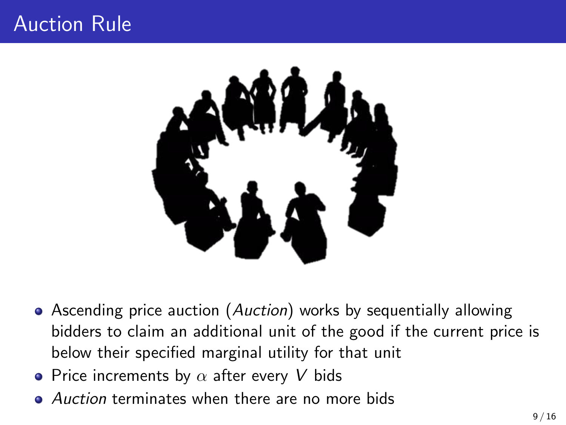### Auction Rule



- Ascending price auction (Auction) works by sequentially allowing bidders to claim an additional unit of the good if the current price is below their specified marginal utility for that unit
- Price increments by  $\alpha$  after every V bids
- **Auction terminates when there are no more bids**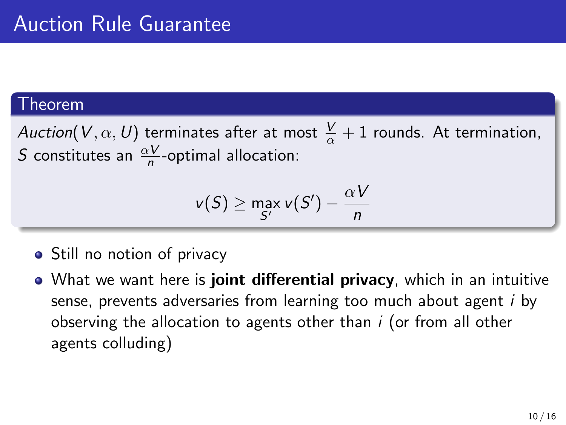#### Theorem

Auction $(V, \alpha, U)$  terminates after at most  $\frac{V}{\alpha}+1$  rounds. At termination, *S* constitutes an  $\frac{\alpha V}{n}$ -optimal allocation:

$$
v(S) \ge \max_{S'} v(S') - \frac{\alpha V}{n}
$$

- Still no notion of privacy
- What we want here is **joint differential privacy**, which in an intuitive sense, prevents adversaries from learning too much about agent i by observing the allocation to agents other than  $i$  (or from all other agents colluding)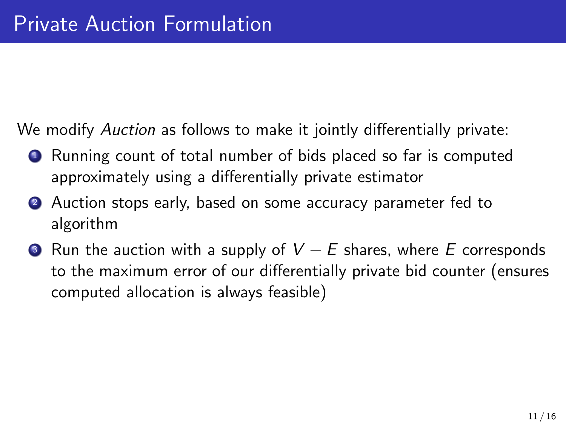We modify Auction as follows to make it jointly differentially private:

- <sup>1</sup> Running count of total number of bids placed so far is computed approximately using a differentially private estimator
- 2 Auction stops early, based on some accuracy parameter fed to algorithm
- $\bullet$  Run the auction with a supply of  $V E$  shares, where E corresponds to the maximum error of our differentially private bid counter (ensures computed allocation is always feasible)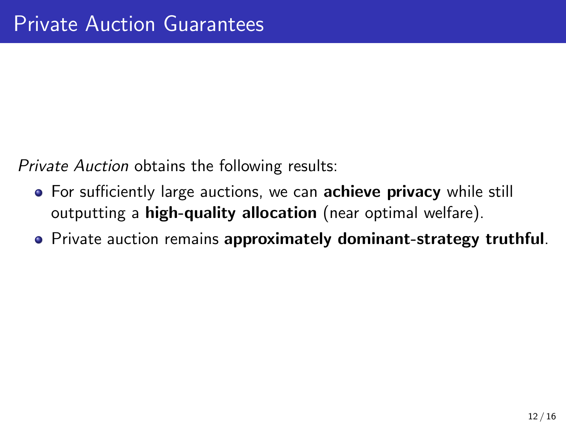Private Auction obtains the following results:

- For sufficiently large auctions, we can **achieve privacy** while still outputting a **high-quality allocation** (near optimal welfare).
- Private auction remains approximately dominant-strategy truthful.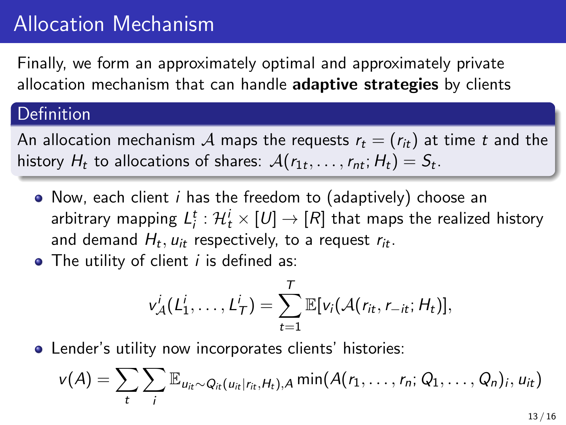## Allocation Mechanism

Finally, we form an approximately optimal and approximately private allocation mechanism that can handle **adaptive strategies** by clients

### Definition

An allocation mechanism A maps the requests  $r_t = (r_{it})$  at time t and the history  $H_t$  to allocations of shares:  $\mathcal{A}(r_{1t},\ldots,r_{nt};H_t)=S_t.$ 

- Now, each client i has the freedom to (adaptively) choose an arbitrary mapping  $L^t_i: \mathcal{H}^i_t \times [\mathit{U}] \rightarrow [\mathit{R}]$  that maps the realized history and demand  $H_t, u_{it}$  respectively, to a request  $r_{it}.$
- $\bullet$  The utility of client *i* is defined as:

$$
v_{\mathcal{A}}^i(L_1^i,\ldots,L_{\mathcal{T}}^i)=\sum_{t=1}^{\mathcal{T}}\mathbb{E}[v_i(\mathcal{A}(r_{it},r_{-it};H_t)],
$$

Lender's utility now incorporates clients' histories:

$$
v(A) = \sum_{t} \sum_{i} \mathbb{E}_{u_{it} \sim Q_{it}(u_{it}|r_{it},H_t),A} \min(A(r_1,\ldots,r_n;Q_1,\ldots,Q_n);u_{it})
$$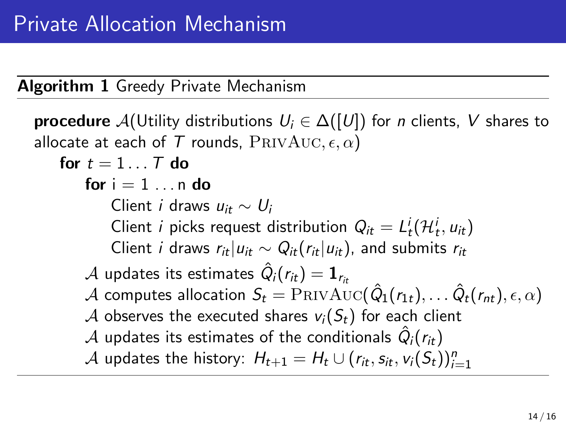### Algorithm 1 Greedy Private Mechanism

```
procedure \mathcal{A}(Utility distributions U_i \in \Delta([U]) for n clients, V shares to
allocate at each of T rounds, \text{PRIVAUC}, \epsilon, \alpha)
     for t = 1...T do
          for i = 1 \ldots n do
               Client i draws u_{it} \sim U_iClient i picks request distribution Q_{it} = L_t^i(\mathcal{H}_t^i, u_{it})Client i draws r_{it}|u_{it} \sim Q_{it}(r_{it}|u_{it}), and submits r_{it}{\cal A} updates its estimates \hat{Q}_i(r_{it}) = {\bf 1}_{r_{it}}{\cal A} computes allocation S_t={\rm PRIVAUC}(\hat{Q}_1(r_{1t}),\ldots \hat{Q}_t(r_{nt}),\epsilon,\alpha)A observes the executed shares v_i(S_t) for each client
          {\cal A} updates its estimates of the conditionals \hat{Q}_i(r_{it}){\mathcal A} updates the history: H_{t+1} = H_t \cup (r_{it}, s_{it}, \nu_i(\mathcal{S}_t))_{i=1}^n
```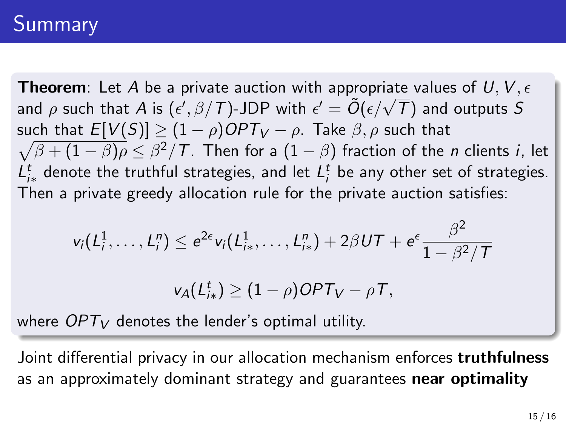# **Summary**

**Theorem:** Let A be a private auction with appropriate values of U, V,  $\epsilon$ **Theorem:** Let A be a private auction with appropriate values of  $\sigma$ ,  $\sigma$ ,  $\sigma$ , and  $\rho$  such that A is ( $\epsilon'$ ,  $\beta$ /T)-JDP with  $\epsilon' = \tilde{O}(\epsilon/\sqrt{T})$  and outputs S such that  $E[V(S)] \geq (1-\rho)OPT_V - \rho$ . Take  $\beta,\rho$  such that  $\sqrt{\beta+(1-\beta)\rho}\leq\beta^2/\mathcal{T}.$  Then for a  $(1-\beta)$  fraction of the  $n$  clients  $i,$  let  $L_{i*}^{t}$  denote the truthful strategies, and let  $L_{i}^{t}$  be any other set of strategies. Then a private greedy allocation rule for the private auction satisfies:

$$
v_i(L_i^1,\ldots,L_i^n) \leq e^{2\epsilon}v_i(L_{i_*}^1,\ldots,L_{i_*}^n) + 2\beta UT + e^{\epsilon}\frac{\beta^2}{1-\beta^2/T}
$$

$$
v_A(L_{i*}^t) \geq (1-\rho)OPT_V - \rho T,
$$

where  $OPT_V$  denotes the lender's optimal utility.

Joint differential privacy in our allocation mechanism enforces **truthfulness** as an approximately dominant strategy and guarantees near optimality